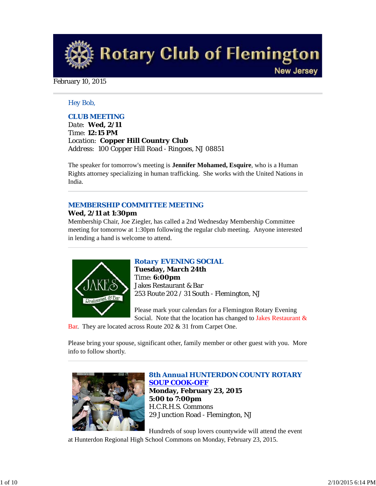**Rotary Club of Flemington New Jersey** 

## February 10, 2015

## *Hey Bob,*

# *CLUB MEETING*

*Date: Wed, 2/11 Time: 12:15 PM Location: Copper Hill Country Club Address: 100 Copper Hill Road - Ringoes, NJ 08851*

The speaker for tomorrow's meeting is **Jennifer Mohamed, Esquire**, who is a Human Rights attorney specializing in human trafficking. She works with the United Nations in India.

# *MEMBERSHIP COMMITTEE MEETING*

## **Wed, 2/11 at 1:30pm**

Membership Chair, Joe Ziegler, has called a 2nd Wednesday Membership Committee meeting for tomorrow at 1:30pm following the regular club meeting. Anyone interested in lending a hand is welcome to attend.



# *Rotary EVENING SOCIAL*

**Tuesday, March 24th** Time: **6:00pm** Jakes Restaurant & Bar 253 Route 202 / 31 South - Flemington, NJ

Please mark your calendars for a Flemington Rotary Evening Social. Note that the location has changed to Jakes Restaurant &

Bar. They are located across Route 202 & 31 from Carpet One.

Please bring your spouse, significant other, family member or other guest with you. More info to follow shortly.



*8th Annual HUNTERDON COUNTY ROTARY SOUP COOK-OFF* **Monday, February 23, 2015 5:00 to 7:00pm** H.C.R.H.S. Commons 29 Junction Road - Flemington, NJ

Hundreds of soup lovers countywide will attend the event

at Hunterdon Regional High School Commons on Monday, February 23, 2015.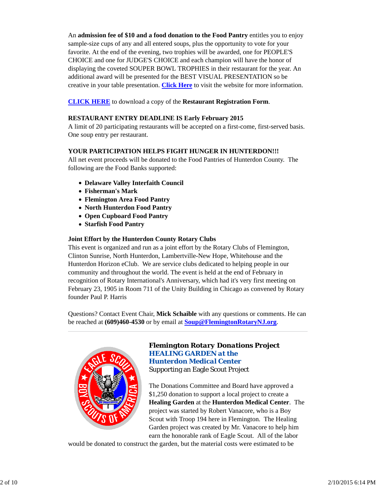An **admission fee of \$10 and a food donation to the Food Pantry** entitles you to enjoy sample-size cups of any and all entered soups, plus the opportunity to vote for your favorite. At the end of the evening, two trophies will be awarded, one for PEOPLE'S CHOICE and one for JUDGE'S CHOICE and each champion will have the honor of displaying the coveted SOUPER BOWL TROPHIES in their restaurant for the year. An additional award will be presented for the BEST VISUAL PRESENTATION so be creative in your table presentation. **Click Here** to visit the website for more information.

**CLICK HERE** to download a copy of the **Restaurant Registration Form**.

# **RESTAURANT ENTRY DEADLINE IS Early February 2015**

A limit of 20 participating restaurants will be accepted on a first-come, first-served basis. One soup entry per restaurant.

# **YOUR PARTICIPATION HELPS FIGHT HUNGER IN HUNTERDON!!!**

All net event proceeds will be donated to the Food Pantries of Hunterdon County. The following are the Food Banks supported:

- **Delaware Valley Interfaith Council**
- **Fisherman's Mark**
- **Flemington Area Food Pantry**
- **North Hunterdon Food Pantry**
- **Open Cupboard Food Pantry**
- **Starfish Food Pantry**

# **Joint Effort by the Hunterdon County Rotary Clubs**

This event is organized and run as a joint effort by the Rotary Clubs of Flemington, Clinton Sunrise, North Hunterdon, Lambertville-New Hope, Whitehouse and the Hunterdon Horizon eClub. We are service clubs dedicated to helping people in our community and throughout the world. The event is held at the end of February in recognition of Rotary International's Anniversary, which had it's very first meeting on February 23, 1905 in Room 711 of the Unity Building in Chicago as convened by Rotary founder Paul P. Harris

Questions? Contact Event Chair, **Mick Schaible** with any questions or comments. He can be reached at **(609)460-4530** or by email at **Soup@FlemingtonRotaryNJ.org**.



# *Flemington Rotary Donations Project HEALING GARDEN at the Hunterdon Medical Center* Supporting an Eagle Scout Project

The Donations Committee and Board have approved a \$1,250 donation to support a local project to create a **Healing Garden** at the **Hunterdon Medical Center**. The project was started by Robert Vanacore, who is a Boy Scout with Troop 194 here in Flemington. The Healing Garden project was created by Mr. Vanacore to help him earn the honorable rank of Eagle Scout. All of the labor

would be donated to construct the garden, but the material costs were estimated to be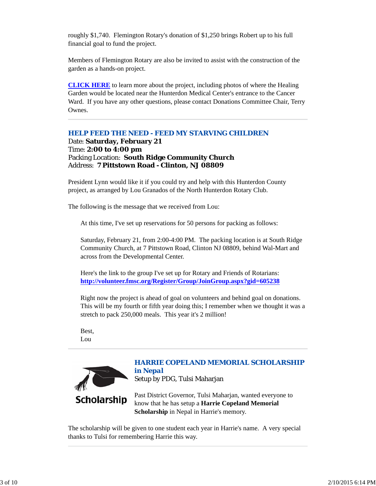roughly \$1,740. Flemington Rotary's donation of \$1,250 brings Robert up to his full financial goal to fund the project.

Members of Flemington Rotary are also be invited to assist with the construction of the garden as a hands-on project.

**CLICK HERE** to learn more about the project, including photos of where the Healing Garden would be located near the Hunterdon Medical Center's entrance to the Cancer Ward. If you have any other questions, please contact Donations Committee Chair, Terry Ownes.

# *HELP FEED THE NEED - FEED MY STARVING CHILDREN*

Date: **Saturday, February 21** Time: **2:00 to 4:00 pm** Packing Location: **South Ridge Community Church** Address: **7 Pittstown Road - Clinton, NJ 08809**

President Lynn would like it if you could try and help with this Hunterdon County project, as arranged by Lou Granados of the North Hunterdon Rotary Club.

The following is the message that we received from Lou:

At this time, I've set up reservations for 50 persons for packing as follows:

Saturday, February 21, from 2:00-4:00 PM. The packing location is at South Ridge Community Church, at 7 Pittstown Road, Clinton NJ 08809, behind Wal-Mart and across from the Developmental Center.

Here's the link to the group I've set up for Rotary and Friends of Rotarians: **http://volunteer.fmsc.org/Register/Group/JoinGroup.aspx?gid=605238**

Right now the project is ahead of goal on volunteers and behind goal on donations. This will be my fourth or fifth year doing this; I remember when we thought it was a stretch to pack 250,000 meals. This year it's 2 million!

Best, Lou



The scholarship will be given to one student each year in Harrie's name. A very special thanks to Tulsi for remembering Harrie this way.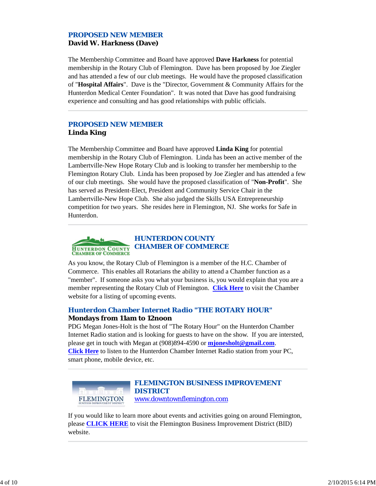# *PROPOSED NEW MEMBER* **David W. Harkness (Dave)**

The Membership Committee and Board have approved **Dave Harkness** for potential membership in the Rotary Club of Flemington. Dave has been proposed by Joe Ziegler and has attended a few of our club meetings. He would have the proposed classification of "**Hospital Affairs**". Dave is the "Director, Government & Community Affairs for the Hunterdon Medical Center Foundation". It was noted that Dave has good fundraising experience and consulting and has good relationships with public officials.

# *PROPOSED NEW MEMBER* **Linda King**

The Membership Committee and Board have approved **Linda King** for potential membership in the Rotary Club of Flemington. Linda has been an active member of the Lambertville-New Hope Rotary Club and is looking to transfer her membership to the Flemington Rotary Club. Linda has been proposed by Joe Ziegler and has attended a few of our club meetings. She would have the proposed classification of "**Non-Profit**". She has served as President-Elect, President and Community Service Chair in the Lambertville-New Hope Club. She also judged the Skills USA Entrepreneurship competition for two years. She resides here in Flemington, NJ. She works for Safe in Hunterdon.



As you know, the Rotary Club of Flemington is a member of the H.C. Chamber of Commerce. This enables all Rotarians the ability to attend a Chamber function as a "member". If someone asks you what your business is, you would explain that you are a member representing the Rotary Club of Flemington. **Click Here** to visit the Chamber website for a listing of upcoming events.

# *Hunterdon Chamber Internet Radio "THE ROTARY HOUR"* **Mondays from 11am to 12noon**

PDG Megan Jones-Holt is the host of "The Rotary Hour" on the Hunterdon Chamber Internet Radio station and is looking for guests to have on the show. If you are intersted, please get in touch with Megan at (908)894-4590 or **mjonesholt@gmail.com**. **Click Here** to listen to the Hunterdon Chamber Internet Radio station from your PC, smart phone, mobile device, etc.



If you would like to learn more about events and activities going on around Flemington, please **CLICK HERE** to visit the Flemington Business Improvement District (BID) website.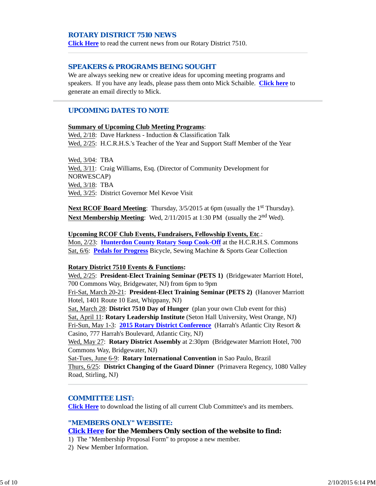## *ROTARY DISTRICT 7510 NEWS*

**Click Here** to read the current news from our Rotary District 7510.

### *SPEAKERS & PROGRAMS BEING SOUGHT*

We are always seeking new or creative ideas for upcoming meeting programs and speakers. If you have any leads, please pass them onto Mick Schaible. **Click here** to generate an email directly to Mick.

## *UPCOMING DATES TO NOTE*

## **Summary of Upcoming Club Meeting Programs**:

Wed, 2/18: Dave Harkness - Induction & Classification Talk Wed, 2/25: H.C.R.H.S.'s Teacher of the Year and Support Staff Member of the Year

Wed, 3/04: TBA Wed, 3/11: Craig Williams, Esq. (Director of Community Development for NORWESCAP) Wed, 3/18: TBA Wed, 3/25: District Governor Mel Kevoe Visit

**Next RCOF Board Meeting:** Thursday,  $3/5/2015$  at 6pm (usually the 1<sup>st</sup> Thursday). **Next Membership Meeting**: Wed, 2/11/2015 at 1:30 PM (usually the 2<sup>nd</sup> Wed).

#### **Upcoming RCOF Club Events, Fundraisers, Fellowship Events, Etc**.:

Mon, 2/23: **Hunterdon County Rotary Soup Cook-Off** at the H.C.R.H.S. Commons Sat, 6/6: **Pedals for Progress** Bicycle, Sewing Machine & Sports Gear Collection

#### **Rotary District 7510 Events & Functions:**

Wed, 2/25: **President-Elect Training Seminar (PETS 1)** (Bridgewater Marriott Hotel, 700 Commons Way, Bridgewater, NJ) from 6pm to 9pm

Fri-Sat, March 20-21: **President-Elect Training Seminar (PETS 2)** (Hanover Marriott Hotel, 1401 Route 10 East, Whippany, NJ)

Sat, March 28: **District 7510 Day of Hunger** (plan your own Club event for this) Sat, April 11: **Rotary Leadership Institute** (Seton Hall University, West Orange, NJ) Fri-Sun, May 1-3: **2015 Rotary District Conference** (Harrah's Atlantic City Resort & Casino, 777 Harrah's Boulevard, Atlantic City, NJ)

Wed, May 27: **Rotary District Assembly** at 2:30pm (Bridgewater Marriott Hotel, 700 Commons Way, Bridgewater, NJ)

Sat-Tues, June 6-9: **Rotary International Convention** in Sao Paulo, Brazil Thurs, 6/25: **District Changing of the Guard Dinner** (Primavera Regency, 1080 Valley Road, Stirling, NJ)

## *COMMITTEE LIST:*

**Click Here** to download the listing of all current Club Committee's and its members.

#### *"MEMBERS ONLY" WEBSITE:*

#### **Click Here for the Members Only section of the website to find:**

- 1) The "Membership Proposal Form" to propose a new member.
- 2) New Member Information.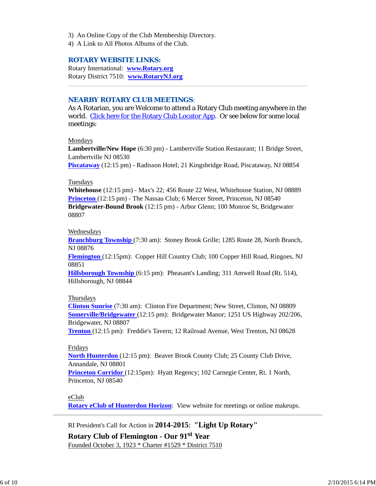- 3) An Online Copy of the Club Membership Directory.
- 4) A Link to All Photos Albums of the Club.

## *ROTARY WEBSITE LINKS:*

Rotary International: **www.Rotary.org** Rotary District 7510: **www.RotaryNJ.org**

## *NEARBY ROTARY CLUB MEETINGS:*

As A Rotarian, you are Welcome to attend a Rotary Club meeting anywhere in the world. Click here for the Rotary Club Locator App. Or see below for some local meetings:

Mondays

**Lambertville/New Hope** (6:30 pm) - Lambertville Station Restaurant; 11 Bridge Street, Lambertville NJ 08530

**Piscataway** (12:15 pm) - Radisson Hotel; 21 Kingsbridge Road, Piscataway, NJ 08854

#### Tuesdays

**Whitehouse** (12:15 pm) - Max's 22; 456 Route 22 West, Whitehouse Station, NJ 08889 **Princeton** (12:15 pm) - The Nassau Club; 6 Mercer Street, Princeton, NJ 08540 **Bridgewater-Bound Brook** (12:15 pm) - Arbor Glenn; 100 Monroe St, Bridgewater 08807

#### Wednesdays

**Branchburg Township** (7:30 am): Stoney Brook Grille; 1285 Route 28, North Branch, NJ 08876

**Flemington** (12:15pm): Copper Hill Country Club; 100 Copper Hill Road, Ringoes, NJ 08851

**Hillsborough Township** (6:15 pm): Pheasant's Landing; 311 Amwell Road (Rt. 514), Hillsborough, NJ 08844

#### Thursdays

**Clinton Sunrise** (7:30 am): Clinton Fire Department; New Street, Clinton, NJ 08809 **Somerville/Bridgewater** (12:15 pm): Bridgewater Manor; 1251 US Highway 202/206, Bridgewater, NJ 08807

**Trenton** (12:15 pm): Freddie's Tavern; 12 Railroad Avenue, West Trenton, NJ 08628

### Fridays

**North Hunterdon** (12:15 pm): Beaver Brook County Club; 25 County Club Drive, Annandale, NJ 08801

**Princeton Corridor** (12:15pm): Hyatt Regency; 102 Carnegie Center, Rt. 1 North, Princeton, NJ 08540

eClub

**Rotary eClub of Hunterdon Horizon**: View website for meetings or online makeups.

RI President's Call for Action in **2014-2015**: **"Light Up Rotary"**

**Rotary Club of Flemington - Our 91st Year** Founded October 3, 1923 \* Charter #1529 \* District 7510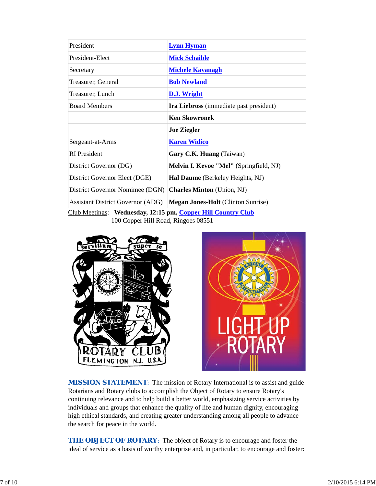| President                                                    | <b>Lynn Hyman</b>                         |  |  |
|--------------------------------------------------------------|-------------------------------------------|--|--|
| President-Elect                                              | <b>Mick Schaible</b>                      |  |  |
| Secretary                                                    | <b>Michele Kavanagh</b>                   |  |  |
| Treasurer, General                                           | <b>Bob Newland</b>                        |  |  |
| Treasurer, Lunch                                             | D.J. Wright                               |  |  |
| <b>Board Members</b>                                         | Ira Liebross (immediate past president)   |  |  |
|                                                              | <b>Ken Skowronek</b>                      |  |  |
|                                                              | <b>Joe Ziegler</b>                        |  |  |
| Sergeant-at-Arms                                             | <b>Karen Widico</b>                       |  |  |
| <b>RI</b> President                                          | Gary C.K. Huang (Taiwan)                  |  |  |
| District Governor (DG)                                       | Melvin I. Kevoe "Mel" (Springfield, NJ)   |  |  |
| District Governor Elect (DGE)                                | Hal Daume (Berkeley Heights, NJ)          |  |  |
| District Governor Nomimee (DGN)                              | <b>Charles Minton</b> (Union, NJ)         |  |  |
| <b>Assistant District Governor (ADG)</b>                     | <b>Megan Jones-Holt</b> (Clinton Sunrise) |  |  |
| Club Meetings: Wednesday, 12:15 pm, Copper Hill Country Club |                                           |  |  |

100 Copper Hill Road, Ringoes 08551





**MISSION STATEMENT:** The mission of Rotary International is to assist and guide Rotarians and Rotary clubs to accomplish the Object of Rotary to ensure Rotary's continuing relevance and to help build a better world, emphasizing service activities by individuals and groups that enhance the quality of life and human dignity, encouraging high ethical standards, and creating greater understanding among all people to advance the search for peace in the world.

**THE OBJECT OF ROTARY:** The object of Rotary is to encourage and foster the ideal of service as a basis of worthy enterprise and, in particular, to encourage and foster: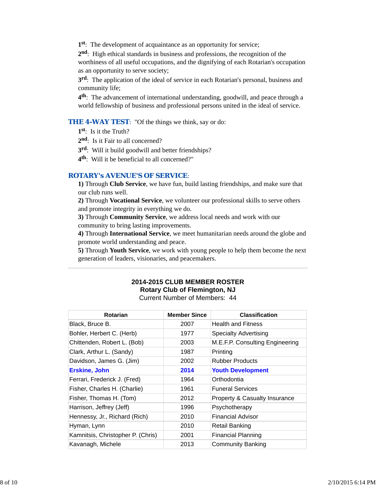**1st**: The development of acquaintance as an opportunity for service;

**2nd**: High ethical standards in business and professions, the recognition of the worthiness of all useful occupations, and the dignifying of each Rotarian's occupation as an opportunity to serve society;

**3rd**: The application of the ideal of service in each Rotarian's personal, business and community life;

**4th**: The advancement of international understanding, goodwill, and peace through a world fellowship of business and professional persons united in the ideal of service.

**THE 4-WAY TEST:** "Of the things we think, say or do:

**1st**: Is it the Truth?

2<sup>nd</sup>: Is it Fair to all concerned?

**3rd**: Will it build goodwill and better friendships?

**4th**: Will it be beneficial to all concerned?"

### *ROTARY's AVENUE'S OF SERVICE*:

**1)** Through **Club Service**, we have fun, build lasting friendships, and make sure that our club runs well.

**2)** Through **Vocational Service**, we volunteer our professional skills to serve others and promote integrity in everything we do.

**3)** Through **Community Service**, we address local needs and work with our community to bring lasting improvements.

**4)** Through **International Service**, we meet humanitarian needs around the globe and promote world understanding and peace.

**5)** Through **Youth Service**, we work with young people to help them become the next generation of leaders, visionaries, and peacemakers.

# **Rotary Club of Flemington, NJ** Current Number of Members: 44 **Rotarian Member Since Classification**

**2014-2015 CLUB MEMBER ROSTER**

|      | ulassiiluation                  |
|------|---------------------------------|
| 2007 | <b>Health and Fitness</b>       |
| 1977 | <b>Specialty Advertising</b>    |
| 2003 | M.E.F.P. Consulting Engineering |
| 1987 | Printing                        |
| 2002 | <b>Rubber Products</b>          |
| 2014 | <b>Youth Development</b>        |
| 1964 | Orthodontia                     |
| 1961 | <b>Funeral Services</b>         |
| 2012 | Property & Casualty Insurance   |
| 1996 | Psychotherapy                   |
| 2010 | Financial Advisor               |
| 2010 | Retail Banking                  |
| 2001 | <b>Financial Planning</b>       |
| 2013 | <b>Community Banking</b>        |
|      | <b>Member Since</b>             |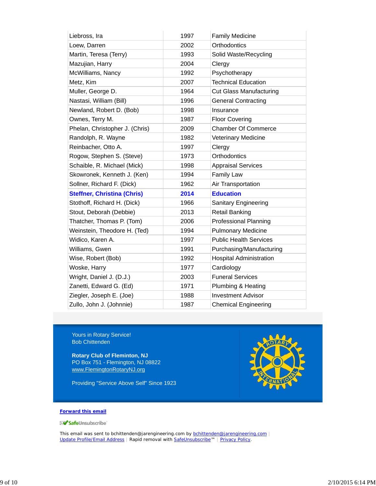| Liebross, Ira                      | 1997 | <b>Family Medicine</b>         |
|------------------------------------|------|--------------------------------|
| Loew, Darren                       | 2002 | Orthodontics                   |
| Martin, Teresa (Terry)             | 1993 | Solid Waste/Recycling          |
| Mazujian, Harry                    | 2004 | Clergy                         |
| McWilliams, Nancy                  | 1992 | Psychotherapy                  |
| Metz, Kim                          | 2007 | <b>Technical Education</b>     |
| Muller, George D.                  | 1964 | <b>Cut Glass Manufacturing</b> |
| Nastasi, William (Bill)            | 1996 | <b>General Contracting</b>     |
| Newland, Robert D. (Bob)           | 1998 | Insurance                      |
| Ownes, Terry M.                    | 1987 | <b>Floor Covering</b>          |
| Phelan, Christopher J. (Chris)     | 2009 | <b>Chamber Of Commerce</b>     |
| Randolph, R. Wayne                 | 1982 | Veterinary Medicine            |
| Reinbacher, Otto A.                | 1997 | Clergy                         |
| Rogow, Stephen S. (Steve)          | 1973 | Orthodontics                   |
| Schaible, R. Michael (Mick)        | 1998 | <b>Appraisal Services</b>      |
| Skowronek, Kenneth J. (Ken)        | 1994 | <b>Family Law</b>              |
| Sollner, Richard F. (Dick)         | 1962 | Air Transportation             |
| <b>Steffner, Christina (Chris)</b> | 2014 | <b>Education</b>               |
| Stothoff, Richard H. (Dick)        | 1966 | <b>Sanitary Engineering</b>    |
| Stout, Deborah (Debbie)            | 2013 | <b>Retail Banking</b>          |
| Thatcher, Thomas P. (Tom)          | 2006 | <b>Professional Planning</b>   |
| Weinstein, Theodore H. (Ted)       | 1994 | <b>Pulmonary Medicine</b>      |
| Widico, Karen A.                   | 1997 | <b>Public Health Services</b>  |
| Williams, Gwen                     | 1991 | Purchasing/Manufacturing       |
| Wise, Robert (Bob)                 | 1992 | <b>Hospital Administration</b> |
| Woske, Harry                       | 1977 | Cardiology                     |
| Wright, Daniel J. (D.J.)           | 2003 | <b>Funeral Services</b>        |
| Zanetti, Edward G. (Ed)            | 1971 | Plumbing & Heating             |
| Ziegler, Joseph E. (Joe)           | 1988 | <b>Investment Advisor</b>      |
| Zullo, John J. (Johnnie)           | 1987 | <b>Chemical Engineering</b>    |

Yours in Rotary Service! Bob Chittenden

**Rotary Club of Fleminton, NJ** PO Box 751 - Flemington, NJ 08822 www.FlemingtonRotaryNJ.org

Providing "Service Above Self" Since 1923



#### **Forward this email**

SafeUnsubscribe

This email was sent to bchittenden@jarengineering.com by **bchittenden@jarengineering.com** Update Profile/Email Address | Rapid removal with SafeUnsubscribe™ | Privacy Policy.